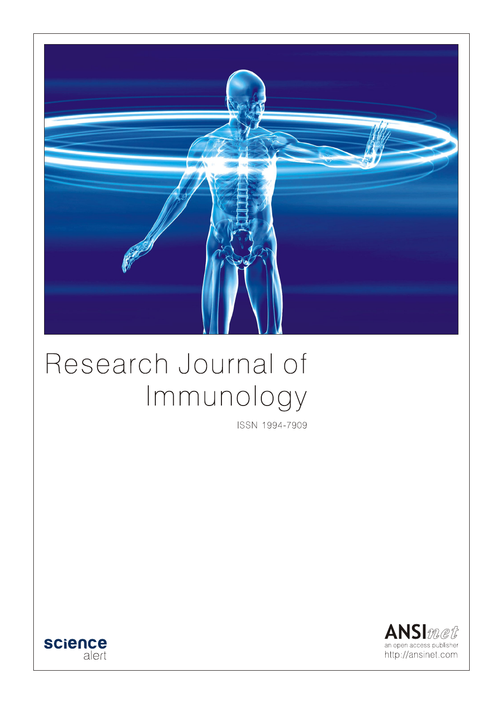

# Research Journal of Immunology

ISSN 1994-7909



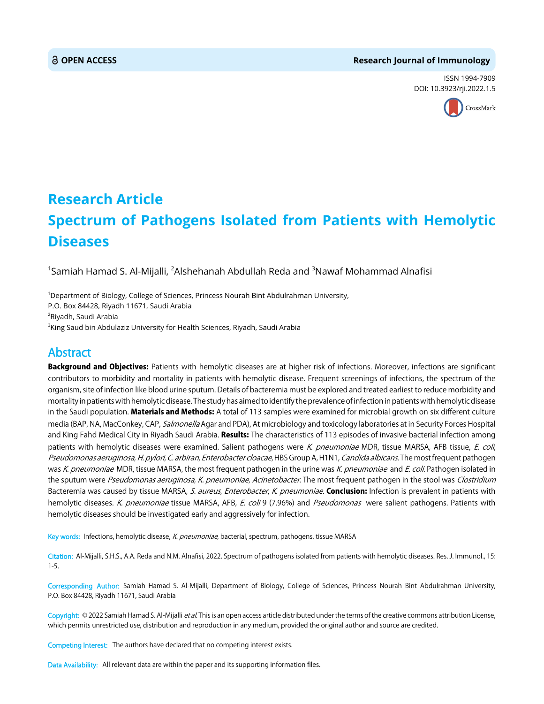# **OPEN ACCESS Research Journal of Immunology**

ISSN 1994-7909 DOI: 10.3923/rji.2022.1.5



# **Research Article Spectrum of Pathogens Isolated from Patients with Hemolytic Diseases**

 $^1$ Samiah Hamad S. Al-Mijalli,  $^2$ Alshehanah Abdullah Reda and  $^3$ Nawaf Mohammad Alnafisi

1 Department of Biology, College of Sciences, Princess Nourah Bint Abdulrahman University, P.O. Box 84428, Riyadh 11671, Saudi Arabia <sup>2</sup>Riyadh, Saudi Arabia 3 King Saud bin Abdulaziz University for Health Sciences, Riyadh, Saudi Arabia

# Abstract

Background and Objectives: Patients with hemolytic diseases are at higher risk of infections. Moreover, infections are significant contributors to morbidity and mortality in patients with hemolytic disease. Frequent screenings of infections, the spectrum of the organism, site of infection like blood urine sputum. Details of bacteremia must be explored and treated earliest to reduce morbidity and mortality in patients with hemolytic disease. The study has aimed to identify the prevalence of infection in patients with hemolytic disease in the Saudi population. **Materials and Methods:** A total of 113 samples were examined for microbial growth on six different culture media (BAP, NA, MacConkey, CAP, Salmonella Agar and PDA), At microbiology and toxicology laboratories at in Security Forces Hospital and King Fahd Medical City in Riyadh Saudi Arabia. Results: The characteristics of 113 episodes of invasive bacterial infection among patients with hemolytic diseases were examined. Salient pathogens were K. pneumoniae MDR, tissue MARSA, AFB tissue, E. coli, Pseudomonas aeruginosa, H. pylori, C. arbiran, Enterobacter cloacae, HBS Group A, H1N1, Candida albicans. The most frequent pathogen was K. pneumoniae MDR, tissue MARSA, the most frequent pathogen in the urine was K. pneumoniae and E. coli. Pathogen isolated in the sputum were Pseudomonas aeruginosa, K. pneumoniae, Acinetobacter. The most frequent pathogen in the stool was Clostridium Bacteremia was caused by tissue MARSA, S. aureus, Enterobacter, K. pneumoniae. Conclusion: Infection is prevalent in patients with hemolytic diseases. K. pneumoniae tissue MARSA, AFB, E. coli 9 (7.96%) and Pseudomonas were salient pathogens. Patients with hemolytic diseases should be investigated early and aggressively for infection.

Key words: Infections, hemolytic disease, K. pneumoniae, bacterial, spectrum, pathogens, tissue MARSA

Citation: Al-Mijalli, S.H.S., A.A. Reda and N.M. Alnafisi, 2022. Spectrum of pathogens isolated from patients with hemolytic diseases. Res. J. Immunol., 15: 1-5.

Corresponding Author: Samiah Hamad S. Al-Mijalli, Department of Biology, College of Sciences, Princess Nourah Bint Abdulrahman University, P.O. Box 84428, Riyadh 11671, Saudi Arabia

Copyright: © 2022 Samiah Hamad S. Al-Mijalli et al. This is an open access article distributed under the terms of the creative commons attribution License, which permits unrestricted use, distribution and reproduction in any medium, provided the original author and source are credited.

Competing Interest: The authors have declared that no competing interest exists.

Data Availability: All relevant data are within the paper and its supporting information files.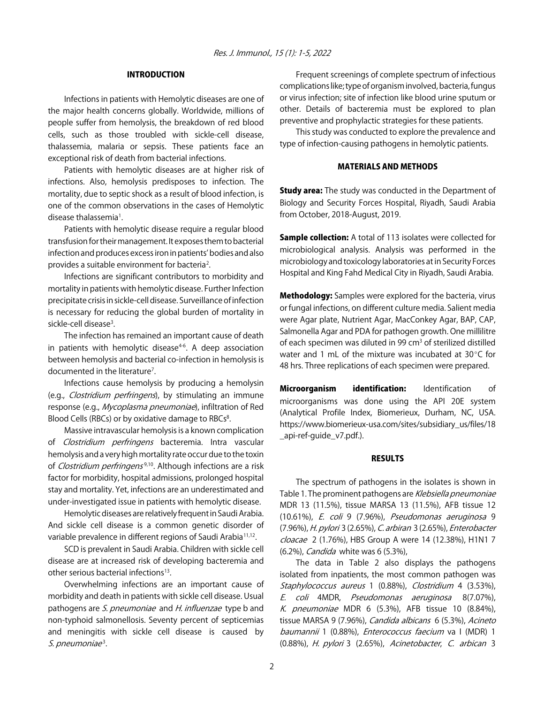# INTRODUCTION

Infections in patients with Hemolytic diseases are one of the major health concerns globally. Worldwide, millions of people suffer from hemolysis, the breakdown of red blood cells, such as those troubled with sickle-cell disease, thalassemia, malaria or sepsis. These patients face an exceptional risk of death from bacterial infections.

Patients with hemolytic diseases are at higher risk of infections. Also, hemolysis predisposes to infection. The mortality, due to septic shock as a result of blood infection, is one of the common observations in the cases of Hemolytic disease thalassemia<sup>1</sup>.

Patients with hemolytic disease require a regular blood transfusion for their management. It exposes them to bacterial infection and produces excess iron in patients' bodies and also provides a suitable environment for bacteria<sup>2</sup>.

Infections are significant contributors to morbidity and mortality in patients with hemolytic disease. Further Infection precipitate crisis in sickle-cell disease. Surveillance of infection is necessary for reducing the global burden of mortality in sickle-cell disease<sup>3</sup>.

The infection has remained an important cause of death in patients with hemolytic disease $4-6$ . A deep association between hemolysis and bacterial co-infection in hemolysis is documented in the literature<sup>7</sup>.

Infections cause hemolysis by producing a hemolysin (e.g., Clostridium perfringens), by stimulating an immune response (e.g., Mycoplasma pneumoniae), infiltration of Red Blood Cells (RBCs) or by oxidative damage to RBCs<sup>8</sup>.

Massive intravascular hemolysis is a known complication of Clostridium perfringens bacteremia. Intra vascular hemolysis and a very high mortality rate occur due to the toxin of *Clostridium perfringens<sup>9,10</sup>*. Although infections are a risk factor for morbidity, hospital admissions, prolonged hospital stay and mortality. Yet, infections are an underestimated and under-investigated issue in patients with hemolytic disease.

Hemolytic diseases are relatively frequent in Saudi Arabia. And sickle cell disease is a common genetic disorder of variable prevalence in different regions of Saudi Arabia<sup>11,12</sup>.

SCD is prevalent in Saudi Arabia. Children with sickle cell disease are at increased risk of developing bacteremia and other serious bacterial infections<sup>13</sup>.

Overwhelming infections are an important cause of morbidity and death in patients with sickle cell disease. Usual pathogens are S. pneumoniae and H. influenzae type b and non-typhoid salmonellosis. Seventy percent of septicemias and meningitis with sickle cell disease is caused by  $S.$  pneumoniae<sup>3</sup>.

Frequent screenings of complete spectrum of infectious complications like; type of organism involved, bacteria, fungus or virus infection; site of infection like blood urine sputum or other. Details of bacteremia must be explored to plan preventive and prophylactic strategies for these patients.

This study was conducted to explore the prevalence and type of infection-causing pathogens in hemolytic patients.

# MATERIALS AND METHODS

**Study area:** The study was conducted in the Department of Biology and Security Forces Hospital, Riyadh, Saudi Arabia from October, 2018-August, 2019.

Sample collection: A total of 113 isolates were collected for microbiological analysis. Analysis was performed in the microbiology and toxicology laboratories at in Security Forces Hospital and King Fahd Medical City in Riyadh, Saudi Arabia.

**Methodology:** Samples were explored for the bacteria, virus or fungal infections, on different culture media. Salient media were Agar plate, Nutrient Agar, MacConkey Agar, BAP, CAP, Salmonella Agar and PDA for pathogen growth. One millilitre of each specimen was diluted in 99 cm<sup>3</sup> of sterilized distilled water and 1 mL of the mixture was incubated at  $30^{\circ}$ C for 48 hrs. Three replications of each specimen were prepared.

**Microorganism identification:** Identification of microorganisms was done using the API 20E system (Analytical Profile Index, Biomerieux, Durham, NC, USA. https://www.biomerieux-usa.com/sites/subsidiary\_us/files/18 \_api-ref-guide\_v7.pdf.).

### RESULTS

The spectrum of pathogens in the isolates is shown in Table 1. The prominent pathogens are Klebsiella pneumoniae MDR 13 (11.5%), tissue MARSA 13 (11.5%), AFB tissue 12 (10.61%), E. coli 9 (7.96%), Pseudomonas aeruginosa 9 (7.96%), H. pylori 3 (2.65%), C. arbiran 3 (2.65%), Enterobacter cloacae 2 (1.76%), HBS Group A were 14 (12.38%), H1N1 7 (6.2%), Candida white was 6 (5.3%),

The data in Table 2 also displays the pathogens isolated from inpatients, the most common pathogen was Staphylococcus aureus 1 (0.88%), Clostridium 4 (3.53%), E. coli 4MDR, Pseudomonas aeruginosa 8(7.07%), K. pneumoniae MDR 6 (5.3%), AFB tissue 10 (8.84%), tissue MARSA 9 (7.96%), Candida albicans 6 (5.3%), Acineto baumannii 1 (0.88%), Enterococcus faecium va I (MDR) 1 (0.88%), H. pylori 3 (2.65%), Acinetobacter, C. arbican 3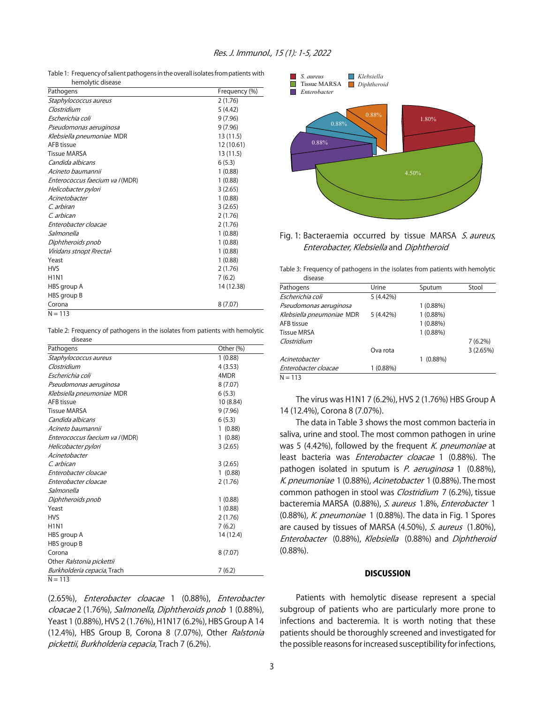Table 1: Frequency of salient pathogens in the overall isolates from patients with hemolytic disease

| Pathogens                       | Frequency (%) |
|---------------------------------|---------------|
| Staphylococcus aureus           | 2(1.76)       |
| Clostridium                     | 5(4.42)       |
| Escherichia coli                | 9(7.96)       |
| Pseudomonas aeruginosa          | 9(7.96)       |
| Klebsiella pneumoniae MDR       | 13 (11.5)     |
| AFB tissue                      | 12 (10.61)    |
| <b>Tissue MARSA</b>             | 13 (11.5)     |
| Candida albicans                | 6(5.3)        |
| Acineto baumannii               | 1(0.88)       |
| Enterococcus faecium va I (MDR) | 1(0.88)       |
| Helicobacter pylori             | 3(2.65)       |
| Acinetobacter                   | 1(0.88)       |
| C. arbiran                      | 3(2.65)       |
| C. arbican                      | 2(1.76)       |
| Enterobacter cloacae            | 2(1.76)       |
| Salmonella                      | 1(0.88)       |
| Diphtheroids pnob               | 1(0.88)       |
| Viridans stnopt Rrectal-        | 1(0.88)       |
| Yeast                           | 1(0.88)       |
| <b>HVS</b>                      | 2(1.76)       |
| <b>H1N1</b>                     | 7(6.2)        |
| HBS group A                     | 14 (12.38)    |
| HBS group B                     |               |
| Corona                          | 8(7.07)       |
| $N = 113$                       |               |

Table 2: Frequency of pathogens in the isolates from patients with hemolytic

| disease                             |                        |
|-------------------------------------|------------------------|
| Pathogens                           | Other (%)              |
| Staphylococcus aureus               | 1(0.88)                |
| Clostridium                         | 4(3.53)                |
| Escherichia coli                    | 4MDR                   |
| Pseudomonas aeruginosa              | 8(7.07)                |
| Klebsiella pneumoniae MDR           | 6(5.3)                 |
| AFB tissue                          | 10 (8.84)              |
| <b>Tissue MARSA</b>                 | 9(7.96)                |
| Candida albicans                    | 6(5.3)                 |
| Acineto baumannii                   | (0.88)<br>$\mathbf{1}$ |
| Enterococcus faecium va I (MDR)     | (0.88)<br>$\mathbf{1}$ |
| Helicobacter pylori                 | 3(2.65)                |
| Acinetobacter                       |                        |
| C. arbican                          | 3(2.65)                |
| Enterobacter cloacae                | 1(0.88)                |
| Enterobacter cloacae                | 2(1.76)                |
| Salmonella                          |                        |
| Diphtheroids pnob                   | 1(0.88)                |
| Yeast                               | 1(0.88)                |
| <b>HVS</b>                          | 2(1.76)                |
| <b>H1N1</b>                         | 7(6.2)                 |
| HBS group A                         | 14 (12.4)              |
| HBS group B                         |                        |
| Corona                              | 8(7.07)                |
| Other Ralstonia pickettii           |                        |
| <i>Burkholderia cepacia</i> , Trach | 7(6.2)                 |
| $N = 113$                           |                        |

(2.65%), Enterobacter cloacae 1 (0.88%), Enterobacter cloacae 2 (1.76%), Salmonella, Diphtheroids pnob 1 (0.88%), Yeast 1 (0.88%), HVS 2 (1.76%), H1N17 (6.2%), HBS Group A 14 (12.4%), HBS Group B, Corona 8 (7.07%), Other Ralstonia pickettii, Burkholderia cepacia, Trach 7 (6.2%).



# Fig. 1: Bacteraemia occurred by tissue MARSA S. aureus, Enterobacter, Klebsiella and Diphtheroid

Table 3: Frequency of pathogens in the isolates from patients with hemolytic disease

| Pathogens                 | Urine       | Sputum     | Stool      |
|---------------------------|-------------|------------|------------|
| Escherichia coli          | 5 (4.42%)   |            |            |
| Pseudomonas aeruginosa    |             | 1(0.88%)   |            |
| Klebsiella pneumoniae MDR | $5(4.42\%)$ | 1(0.88%)   |            |
| AFB tissue                |             | 1(0.88%)   |            |
| <b>Tissue MRSA</b>        |             | 1(0.88%)   |            |
| Clostridium               |             |            | $7(6.2\%)$ |
|                           | Ova rota    |            | 3(2.65%)   |
| Acinetobacter             |             | $(0.88\%)$ |            |
| Enterobacter cloacae      | 1(0.88%)    |            |            |
| $N = 112$                 |             |            |            |

 $N = 113$ 

The virus was H1N1 7 (6.2%), HVS 2 (1.76%) HBS Group A 14 (12.4%), Corona 8 (7.07%).

The data in Table 3 shows the most common bacteria in saliva, urine and stool. The most common pathogen in urine was 5 (4.42%), followed by the frequent K. pneumoniae at least bacteria was *Enterobacter cloacae* 1 (0.88%). The pathogen isolated in sputum is P. aeruginosa 1 (0.88%), K. pneumoniae 1 (0.88%), Acinetobacter 1 (0.88%). The most common pathogen in stool was *Clostridium* 7 (6.2%), tissue bacteremia MARSA (0.88%), S. aureus 1.8%, Enterobacter 1 (0.88%), K. pneumoniae 1 (0.88%). The data in Fig. 1 Spores are caused by tissues of MARSA (4.50%), S. aureus (1.80%), Enterobacter (0.88%), Klebsiella (0.88%) and Diphtheroid (0.88%).

#### **DISCUSSION**

Patients with hemolytic disease represent a special subgroup of patients who are particularly more prone to infections and bacteremia. It is worth noting that these patients should be thoroughly screened and investigated for the possible reasons for increased susceptibility for infections,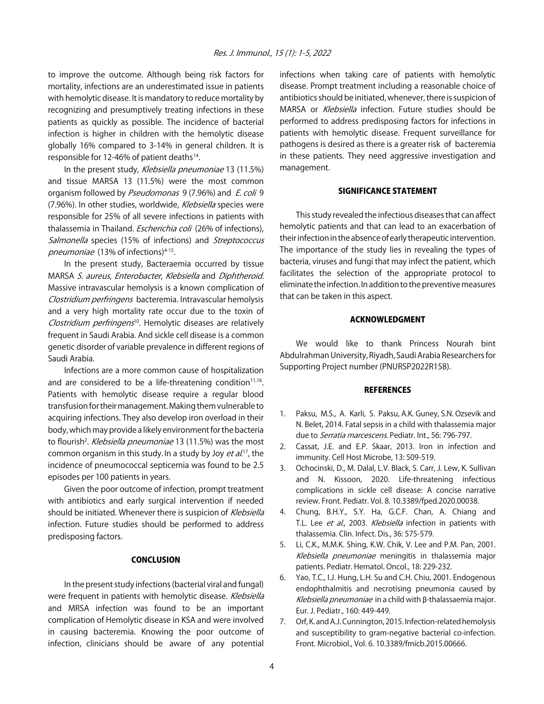to improve the outcome. Although being risk factors for mortality, infections are an underestimated issue in patients with hemolytic disease. It is mandatory to reduce mortality by recognizing and presumptively treating infections in these patients as quickly as possible. The incidence of bacterial infection is higher in children with the hemolytic disease globally 16% compared to 3-14% in general children. It is responsible for 12-46% of patient deaths $14$ .

In the present study, Klebsiella pneumoniae 13 (11.5%) and tissue MARSA 13 (11.5%) were the most common organism followed by Pseudomonas 9 (7.96%) and E. coli 9 (7.96%). In other studies, worldwide, Klebsiella species were responsible for 25% of all severe infections in patients with thalassemia in Thailand. *Escherichia coli* (26% of infections), Salmonella species (15% of infections) and Streptococcus pneumoniae (13% of infections)<sup>4-15</sup>.

In the present study, Bacteraemia occurred by tissue MARSA S. aureus, Enterobacter, Klebsiella and Diphtheroid. Massive intravascular hemolysis is a known complication of Clostridium perfringens bacteremia. Intravascular hemolysis and a very high mortality rate occur due to the toxin of Clostridium perfringens<sup>10</sup>. Hemolytic diseases are relatively frequent in Saudi Arabia. And sickle cell disease is a common genetic disorder of variable prevalence in different regions of Saudi Arabia.

Infections are a more common cause of hospitalization and are considered to be a life-threatening condition $11,16$ . Patients with hemolytic disease require a regular blood transfusion for their management. Making them vulnerable to acquiring infections. They also develop iron overload in their body, which may provide a likely environment for the bacteria to flourish<sup>2</sup>. *Klebsiella pneumoniae* 13 (11.5%) was the most common organism in this study. In a study by Joy et al.<sup>17</sup>, the incidence of pneumococcal septicemia was found to be 2.5 episodes per 100 patients in years.

Given the poor outcome of infection, prompt treatment with antibiotics and early surgical intervention if needed should be initiated. Whenever there is suspicion of Klebsiella infection. Future studies should be performed to address predisposing factors.

## **CONCLUSION**

In the present study infections (bacterial viral and fungal) were frequent in patients with hemolytic disease. Klebsiella and MRSA infection was found to be an important complication of Hemolytic disease in KSA and were involved in causing bacteremia. Knowing the poor outcome of infection, clinicians should be aware of any potential

infections when taking care of patients with hemolytic disease. Prompt treatment including a reasonable choice of antibiotics should be initiated, whenever, there is suspicion of MARSA or Klebsiella infection. Future studies should be performed to address predisposing factors for infections in patients with hemolytic disease. Frequent surveillance for pathogens is desired as there is a greater risk of bacteremia in these patients. They need aggressive investigation and management.

# SIGNIFICANCE STATEMENT

This study revealed the infectious diseases that can affect hemolytic patients and that can lead to an exacerbation of their infection in the absence of early therapeutic intervention. The importance of the study lies in revealing the types of bacteria, viruses and fungi that may infect the patient, which facilitates the selection of the appropriate protocol to eliminate the infection. In addition to the preventive measures that can be taken in this aspect.

# ACKNOWLEDGMENT

We would like to thank Princess Nourah bint Abdulrahman University, Riyadh, Saudi Arabia Researchers for Supporting Project number (PNURSP2022R158).

# REFERENCES

- 1. Paksu, M.S., A. Karli, S. Paksu, A.K. Guney, S.N. Ozsevik and N. Belet, 2014. Fatal sepsis in a child with thalassemia major due to Serratia marcescens. Pediatr. Int., 56: 796-797.
- 2. Cassat, J.E. and E.P. Skaar, 2013. Iron in infection and immunity. Cell Host Microbe, 13: 509-519.
- 3. Ochocinski, D., M. Dalal, L.V. Black, S. Carr, J. Lew, K. Sullivan and N. Kissoon, 2020. Life-threatening infectious complications in sickle cell disease: A concise narrative review. Front. Pediatr. Vol. 8. 10.3389/fped.2020.00038.
- 4. Chung, B.H.Y., S.Y. Ha, G.C.F. Chan, A. Chiang and T.L. Lee et al., 2003. Klebsiella infection in patients with thalassemia. Clin. Infect. Dis., 36: 575-579.
- 5. Li, C.K., M.M.K. Shing, K.W. Chik, V. Lee and P.M. Pan, 2001. Klebsiella pneumoniae meningitis in thalassemia major patients. Pediatr. Hematol. Oncol., 18: 229-232.
- 6. Yao, T.C., I.J. Hung, L.H. Su and C.H. Chiu, 2001. Endogenous endophthalmitis and necrotising pneumonia caused by  $K$ lebsiella pneumoniae in a child with  $\beta$ -thalassaemia major. Eur. J. Pediatr., 160: 449-449.
- 7. Orf, K. and A.J. Cunnington, 2015. Infection-related hemolysis and susceptibility to gram-negative bacterial co-infection. Front. Microbiol., Vol. 6. 10.3389/fmicb.2015.00666.